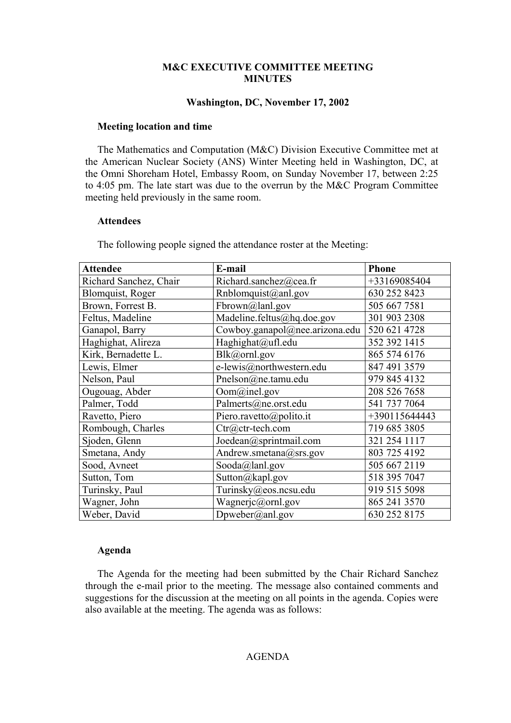### **M&C EXECUTIVE COMMITTEE MEETING MINUTES**

#### **Washington, DC, November 17, 2002**

#### **Meeting location and time**

The Mathematics and Computation (M&C) Division Executive Committee met at the American Nuclear Society (ANS) Winter Meeting held in Washington, DC, at the Omni Shoreham Hotel, Embassy Room, on Sunday November 17, between 2:25 to 4:05 pm. The late start was due to the overrun by the M&C Program Committee meeting held previously in the same room.

#### **Attendees**

The following people signed the attendance roster at the Meeting:

| <b>Attendee</b>        | E-mail                         | <b>Phone</b>  |
|------------------------|--------------------------------|---------------|
| Richard Sanchez, Chair | Richard.sanchez@cea.fr         | +33169085404  |
| Blomquist, Roger       | Rnblomquist@anl.gov            | 630 252 8423  |
| Brown, Forrest B.      | Fbrown@lanl.gov                | 505 667 7581  |
| Feltus, Madeline       | Madeline.feltus@hq.doe.gov     | 301 903 2308  |
| Ganapol, Barry         | Cowboy.ganapol@nee.arizona.edu | 520 621 4728  |
| Haghighat, Alireza     | Haghighat@ufl.edu              | 352 392 1415  |
| Kirk, Bernadette L.    | Blk@ornl.gov                   | 865 574 6176  |
| Lewis, Elmer           | e-lewis@northwestern.edu       | 847 491 3579  |
| Nelson, Paul           | Pnelson@ne.tamu.edu            | 979 845 4132  |
| Ougouag, Abder         | Oom@inel.gov                   | 208 526 7658  |
| Palmer, Todd           | Palmerts@ne.orst.edu           | 541 737 7064  |
| Ravetto, Piero         | Piero.ravetto@polito.it        | +390115644443 |
| Rombough, Charles      | Ctr@ctr-tech.com               | 719 685 3805  |
| Sjoden, Glenn          | Joedean@sprintmail.com         | 321 254 1117  |
| Smetana, Andy          | Andrew.smetana@srs.gov         | 803 725 4192  |
| Sood, Avneet           | Sooda@lanl.gov                 | 505 667 2119  |
| Sutton, Tom            | Sutton@kapl.gov                | 518 395 7047  |
| Turinsky, Paul         | Turinsky@eos.ncsu.edu          | 919 515 5098  |
| Wagner, John           | Wagnerjc@ornl.gov              | 865 241 3570  |
| Weber, David           | $D$ pweber@anl.gov             | 630 252 8175  |

#### **Agenda**

The Agenda for the meeting had been submitted by the Chair Richard Sanchez through the e-mail prior to the meeting. The message also contained comments and suggestions for the discussion at the meeting on all points in the agenda. Copies were also available at the meeting. The agenda was as follows: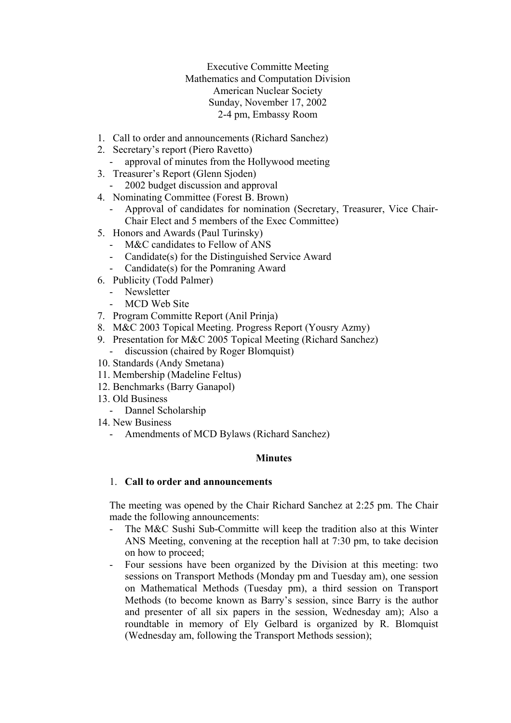Executive Committe Meeting Mathematics and Computation Division American Nuclear Society Sunday, November 17, 2002 2-4 pm, Embassy Room

- 1. Call to order and announcements (Richard Sanchez)
- 2. Secretary's report (Piero Ravetto)
	- approval of minutes from the Hollywood meeting
- 3. Treasurer's Report (Glenn Sjoden)
	- 2002 budget discussion and approval
- 4. Nominating Committee (Forest B. Brown)
	- Approval of candidates for nomination (Secretary, Treasurer, Vice Chair-Chair Elect and 5 members of the Exec Committee)
- 5. Honors and Awards (Paul Turinsky)
	- M&C candidates to Fellow of ANS
	- Candidate(s) for the Distinguished Service Award
	- Candidate(s) for the Pomraning Award
- 6. Publicity (Todd Palmer)
	- Newsletter
	- MCD Web Site
- 7. Program Committe Report (Anil Prinja)
- 8. M&C 2003 Topical Meeting. Progress Report (Yousry Azmy)
- 9. Presentation for M&C 2005 Topical Meeting (Richard Sanchez)
	- discussion (chaired by Roger Blomquist)
- 10. Standards (Andy Smetana)
- 11. Membership (Madeline Feltus)
- 12. Benchmarks (Barry Ganapol)
- 13. Old Business
	- Dannel Scholarship
- 14. New Business
	- Amendments of MCD Bylaws (Richard Sanchez)

#### **Minutes**

#### 1. **Call to order and announcements**

The meeting was opened by the Chair Richard Sanchez at 2:25 pm. The Chair made the following announcements:

- The M&C Sushi Sub-Committe will keep the tradition also at this Winter ANS Meeting, convening at the reception hall at 7:30 pm, to take decision on how to proceed;
- Four sessions have been organized by the Division at this meeting: two sessions on Transport Methods (Monday pm and Tuesday am), one session on Mathematical Methods (Tuesday pm), a third session on Transport Methods (to become known as Barry's session, since Barry is the author and presenter of all six papers in the session, Wednesday am); Also a roundtable in memory of Ely Gelbard is organized by R. Blomquist (Wednesday am, following the Transport Methods session);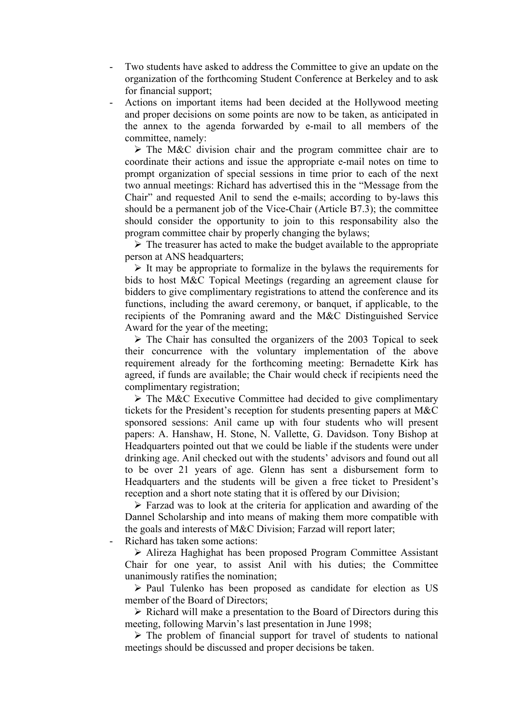- Two students have asked to address the Committee to give an update on the organization of the forthcoming Student Conference at Berkeley and to ask for financial support;
- Actions on important items had been decided at the Hollywood meeting and proper decisions on some points are now to be taken, as anticipated in the annex to the agenda forwarded by e-mail to all members of the committee, namely:

 $\triangleright$  The M&C division chair and the program committee chair are to coordinate their actions and issue the appropriate e-mail notes on time to prompt organization of special sessions in time prior to each of the next two annual meetings: Richard has advertised this in the "Message from the Chair" and requested Anil to send the e-mails; according to by-laws this should be a permanent job of the Vice-Chair (Article B7.3); the committee should consider the opportunity to join to this responsability also the program committee chair by properly changing the bylaws;

 $\triangleright$  The treasurer has acted to make the budget available to the appropriate person at ANS headquarters;

 $\triangleright$  It may be appropriate to formalize in the bylaws the requirements for bids to host M&C Topical Meetings (regarding an agreement clause for bidders to give complimentary registrations to attend the conference and its functions, including the award ceremony, or banquet, if applicable, to the recipients of the Pomraning award and the M&C Distinguished Service Award for the year of the meeting;

 $\triangleright$  The Chair has consulted the organizers of the 2003 Topical to seek their concurrence with the voluntary implementation of the above requirement already for the forthcoming meeting: Bernadette Kirk has agreed, if funds are available; the Chair would check if recipients need the complimentary registration;

 $\triangleright$  The M&C Executive Committee had decided to give complimentary tickets for the President's reception for students presenting papers at M&C sponsored sessions: Anil came up with four students who will present papers: A. Hanshaw, H. Stone, N. Vallette, G. Davidson. Tony Bishop at Headquarters pointed out that we could be liable if the students were under drinking age. Anil checked out with the students' advisors and found out all to be over 21 years of age. Glenn has sent a disbursement form to Headquarters and the students will be given a free ticket to President's reception and a short note stating that it is offered by our Division;

 $\triangleright$  Farzad was to look at the criteria for application and awarding of the Dannel Scholarship and into means of making them more compatible with the goals and interests of M&C Division; Farzad will report later;

Richard has taken some actions:

¾ Alireza Haghighat has been proposed Program Committee Assistant Chair for one year, to assist Anil with his duties; the Committee unanimously ratifies the nomination;

 $\triangleright$  Paul Tulenko has been proposed as candidate for election as US member of the Board of Directors;

 $\triangleright$  Richard will make a presentation to the Board of Directors during this meeting, following Marvin's last presentation in June 1998;

 $\triangleright$  The problem of financial support for travel of students to national meetings should be discussed and proper decisions be taken.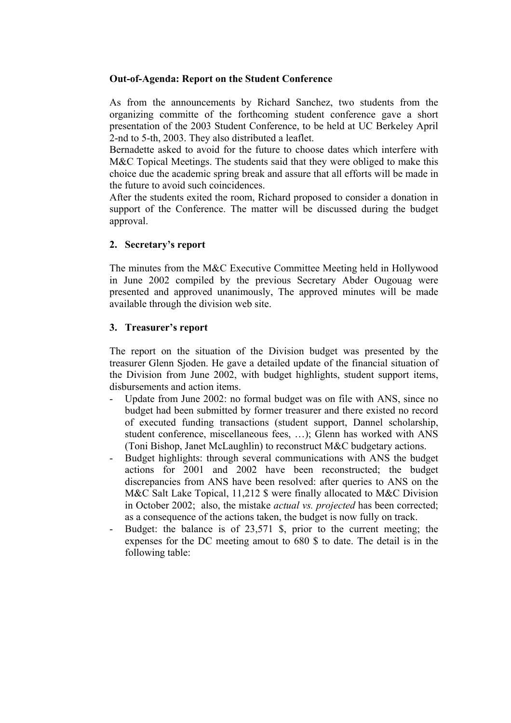#### **Out-of-Agenda: Report on the Student Conference**

As from the announcements by Richard Sanchez, two students from the organizing committe of the forthcoming student conference gave a short presentation of the 2003 Student Conference, to be held at UC Berkeley April 2-nd to 5-th, 2003. They also distributed a leaflet.

Bernadette asked to avoid for the future to choose dates which interfere with M&C Topical Meetings. The students said that they were obliged to make this choice due the academic spring break and assure that all efforts will be made in the future to avoid such coincidences.

After the students exited the room, Richard proposed to consider a donation in support of the Conference. The matter will be discussed during the budget approval.

## **2. Secretary's report**

The minutes from the M&C Executive Committee Meeting held in Hollywood in June 2002 compiled by the previous Secretary Abder Ougouag were presented and approved unanimously, The approved minutes will be made available through the division web site.

## **3. Treasurer's report**

The report on the situation of the Division budget was presented by the treasurer Glenn Sjoden. He gave a detailed update of the financial situation of the Division from June 2002, with budget highlights, student support items, disbursements and action items.

- Update from June 2002: no formal budget was on file with ANS, since no budget had been submitted by former treasurer and there existed no record of executed funding transactions (student support, Dannel scholarship, student conference, miscellaneous fees, …); Glenn has worked with ANS (Toni Bishop, Janet McLaughlin) to reconstruct M&C budgetary actions.
- Budget highlights: through several communications with ANS the budget actions for 2001 and 2002 have been reconstructed; the budget discrepancies from ANS have been resolved: after queries to ANS on the M&C Salt Lake Topical, 11,212 \$ were finally allocated to M&C Division in October 2002; also, the mistake *actual vs. projected* has been corrected; as a consequence of the actions taken, the budget is now fully on track.
- Budget: the balance is of 23,571 \$, prior to the current meeting; the expenses for the DC meeting amout to 680 \$ to date. The detail is in the following table: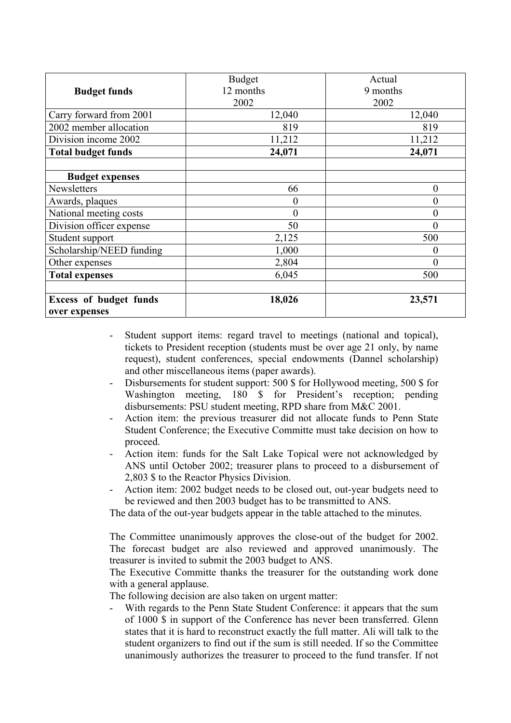| <b>Budget funds</b>           | <b>Budget</b><br>12 months<br>2002 | Actual<br>9 months<br>2002 |
|-------------------------------|------------------------------------|----------------------------|
| Carry forward from 2001       | 12,040                             | 12,040                     |
| 2002 member allocation        | 819                                | 819                        |
| Division income 2002          | 11,212                             | 11,212                     |
| <b>Total budget funds</b>     | 24,071                             | 24,071                     |
|                               |                                    |                            |
| <b>Budget expenses</b>        |                                    |                            |
| Newsletters                   | 66                                 | $\boldsymbol{0}$           |
| Awards, plaques               | $\boldsymbol{0}$                   | $\boldsymbol{0}$           |
| National meeting costs        | $\theta$                           | $\overline{0}$             |
| Division officer expense      | 50                                 | $\boldsymbol{0}$           |
| Student support               | 2,125                              | 500                        |
| Scholarship/NEED funding      | 1,000                              | 0                          |
| Other expenses                | 2,804                              | 0                          |
| <b>Total expenses</b>         | 6,045                              | 500                        |
|                               |                                    |                            |
| <b>Excess of budget funds</b> | 18,026                             | 23,571                     |
| over expenses                 |                                    |                            |

- Student support items: regard travel to meetings (national and topical), tickets to President reception (students must be over age 21 only, by name request), student conferences, special endowments (Dannel scholarship) and other miscellaneous items (paper awards).
- Disbursements for student support: 500 \$ for Hollywood meeting, 500 \$ for Washington meeting, 180 \$ for President's reception; pending disbursements: PSU student meeting, RPD share from M&C 2001.
- Action item: the previous treasurer did not allocate funds to Penn State Student Conference; the Executive Committe must take decision on how to proceed.
- Action item: funds for the Salt Lake Topical were not acknowledged by ANS until October 2002; treasurer plans to proceed to a disbursement of 2,803 \$ to the Reactor Physics Division.
- Action item: 2002 budget needs to be closed out, out-year budgets need to be reviewed and then 2003 budget has to be transmitted to ANS.

The data of the out-year budgets appear in the table attached to the minutes.

The Committee unanimously approves the close-out of the budget for 2002. The forecast budget are also reviewed and approved unanimously. The treasurer is invited to submit the 2003 budget to ANS.

The Executive Committe thanks the treasurer for the outstanding work done with a general applause.

The following decision are also taken on urgent matter:

With regards to the Penn State Student Conference: it appears that the sum of 1000 \$ in support of the Conference has never been transferred. Glenn states that it is hard to reconstruct exactly the full matter. Ali will talk to the student organizers to find out if the sum is still needed. If so the Committee unanimously authorizes the treasurer to proceed to the fund transfer. If not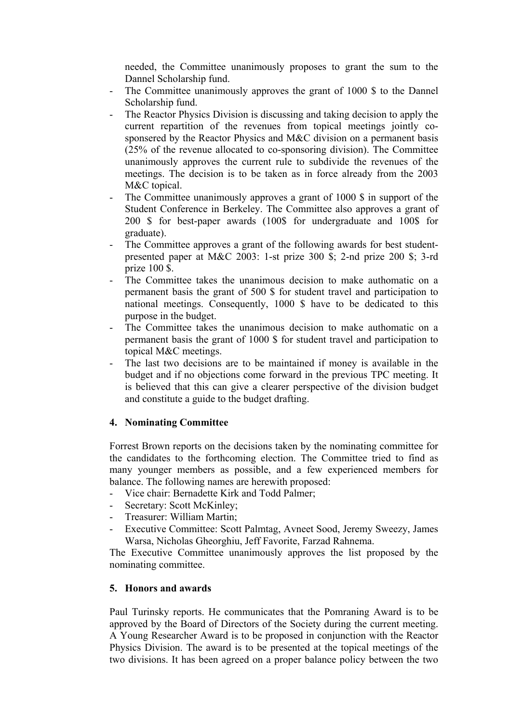needed, the Committee unanimously proposes to grant the sum to the Dannel Scholarship fund.

- The Committee unanimously approves the grant of 1000 \$ to the Dannel Scholarship fund.
- The Reactor Physics Division is discussing and taking decision to apply the current repartition of the revenues from topical meetings jointly cosponsered by the Reactor Physics and M&C division on a permanent basis (25% of the revenue allocated to co-sponsoring division). The Committee unanimously approves the current rule to subdivide the revenues of the meetings. The decision is to be taken as in force already from the 2003 M&C topical.
- The Committee unanimously approves a grant of 1000 \$ in support of the Student Conference in Berkeley. The Committee also approves a grant of 200 \$ for best-paper awards (100\$ for undergraduate and 100\$ for graduate).
- The Committee approves a grant of the following awards for best studentpresented paper at M&C 2003: 1-st prize 300 \$; 2-nd prize 200 \$; 3-rd prize 100 \$.
- The Committee takes the unanimous decision to make authomatic on a permanent basis the grant of 500 \$ for student travel and participation to national meetings. Consequently, 1000 \$ have to be dedicated to this purpose in the budget.
- The Committee takes the unanimous decision to make authomatic on a permanent basis the grant of 1000 \$ for student travel and participation to topical M&C meetings.
- The last two decisions are to be maintained if money is available in the budget and if no objections come forward in the previous TPC meeting. It is believed that this can give a clearer perspective of the division budget and constitute a guide to the budget drafting.

## **4. Nominating Committee**

Forrest Brown reports on the decisions taken by the nominating committee for the candidates to the forthcoming election. The Committee tried to find as many younger members as possible, and a few experienced members for balance. The following names are herewith proposed:

- Vice chair: Bernadette Kirk and Todd Palmer;
- Secretary: Scott McKinley;
- Treasurer: William Martin;
- Executive Committee: Scott Palmtag, Avneet Sood, Jeremy Sweezy, James Warsa, Nicholas Gheorghiu, Jeff Favorite, Farzad Rahnema.

The Executive Committee unanimously approves the list proposed by the nominating committee.

## **5. Honors and awards**

Paul Turinsky reports. He communicates that the Pomraning Award is to be approved by the Board of Directors of the Society during the current meeting. A Young Researcher Award is to be proposed in conjunction with the Reactor Physics Division. The award is to be presented at the topical meetings of the two divisions. It has been agreed on a proper balance policy between the two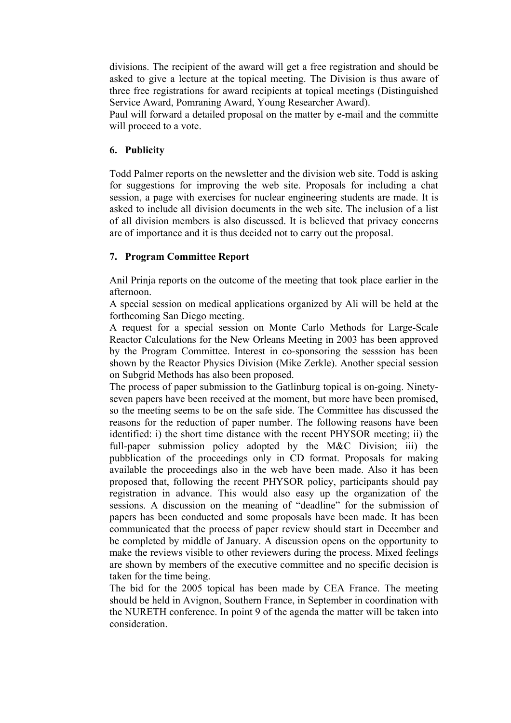divisions. The recipient of the award will get a free registration and should be asked to give a lecture at the topical meeting. The Division is thus aware of three free registrations for award recipients at topical meetings (Distinguished Service Award, Pomraning Award, Young Researcher Award).

Paul will forward a detailed proposal on the matter by e-mail and the committe will proceed to a vote.

# **6. Publicity**

Todd Palmer reports on the newsletter and the division web site. Todd is asking for suggestions for improving the web site. Proposals for including a chat session, a page with exercises for nuclear engineering students are made. It is asked to include all division documents in the web site. The inclusion of a list of all division members is also discussed. It is believed that privacy concerns are of importance and it is thus decided not to carry out the proposal.

## **7. Program Committee Report**

Anil Prinja reports on the outcome of the meeting that took place earlier in the afternoon.

A special session on medical applications organized by Ali will be held at the forthcoming San Diego meeting.

A request for a special session on Monte Carlo Methods for Large-Scale Reactor Calculations for the New Orleans Meeting in 2003 has been approved by the Program Committee. Interest in co-sponsoring the sesssion has been shown by the Reactor Physics Division (Mike Zerkle). Another special session on Subgrid Methods has also been proposed.

The process of paper submission to the Gatlinburg topical is on-going. Ninetyseven papers have been received at the moment, but more have been promised, so the meeting seems to be on the safe side. The Committee has discussed the reasons for the reduction of paper number. The following reasons have been identified: i) the short time distance with the recent PHYSOR meeting; ii) the full-paper submission policy adopted by the M&C Division; iii) the pubblication of the proceedings only in CD format. Proposals for making available the proceedings also in the web have been made. Also it has been proposed that, following the recent PHYSOR policy, participants should pay registration in advance. This would also easy up the organization of the sessions. A discussion on the meaning of "deadline" for the submission of papers has been conducted and some proposals have been made. It has been communicated that the process of paper review should start in December and be completed by middle of January. A discussion opens on the opportunity to make the reviews visible to other reviewers during the process. Mixed feelings are shown by members of the executive committee and no specific decision is taken for the time being.

The bid for the 2005 topical has been made by CEA France. The meeting should be held in Avignon, Southern France, in September in coordination with the NURETH conference. In point 9 of the agenda the matter will be taken into consideration.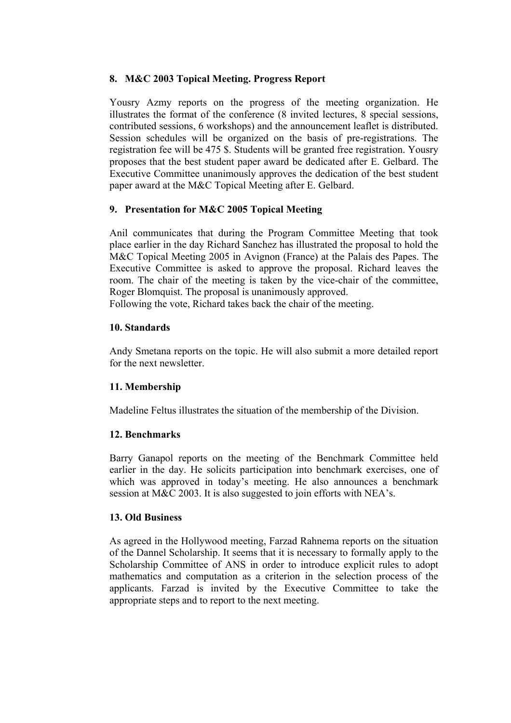# **8. M&C 2003 Topical Meeting. Progress Report**

Yousry Azmy reports on the progress of the meeting organization. He illustrates the format of the conference (8 invited lectures, 8 special sessions, contributed sessions, 6 workshops) and the announcement leaflet is distributed. Session schedules will be organized on the basis of pre-registrations. The registration fee will be 475 \$. Students will be granted free registration. Yousry proposes that the best student paper award be dedicated after E. Gelbard. The Executive Committee unanimously approves the dedication of the best student paper award at the M&C Topical Meeting after E. Gelbard.

# **9. Presentation for M&C 2005 Topical Meeting**

Anil communicates that during the Program Committee Meeting that took place earlier in the day Richard Sanchez has illustrated the proposal to hold the M&C Topical Meeting 2005 in Avignon (France) at the Palais des Papes. The Executive Committee is asked to approve the proposal. Richard leaves the room. The chair of the meeting is taken by the vice-chair of the committee, Roger Blomquist. The proposal is unanimously approved.

Following the vote, Richard takes back the chair of the meeting.

### **10. Standards**

Andy Smetana reports on the topic. He will also submit a more detailed report for the next newsletter.

## **11. Membership**

Madeline Feltus illustrates the situation of the membership of the Division.

## **12. Benchmarks**

Barry Ganapol reports on the meeting of the Benchmark Committee held earlier in the day. He solicits participation into benchmark exercises, one of which was approved in today's meeting. He also announces a benchmark session at M&C 2003. It is also suggested to join efforts with NEA's.

#### **13. Old Business**

As agreed in the Hollywood meeting, Farzad Rahnema reports on the situation of the Dannel Scholarship. It seems that it is necessary to formally apply to the Scholarship Committee of ANS in order to introduce explicit rules to adopt mathematics and computation as a criterion in the selection process of the applicants. Farzad is invited by the Executive Committee to take the appropriate steps and to report to the next meeting.